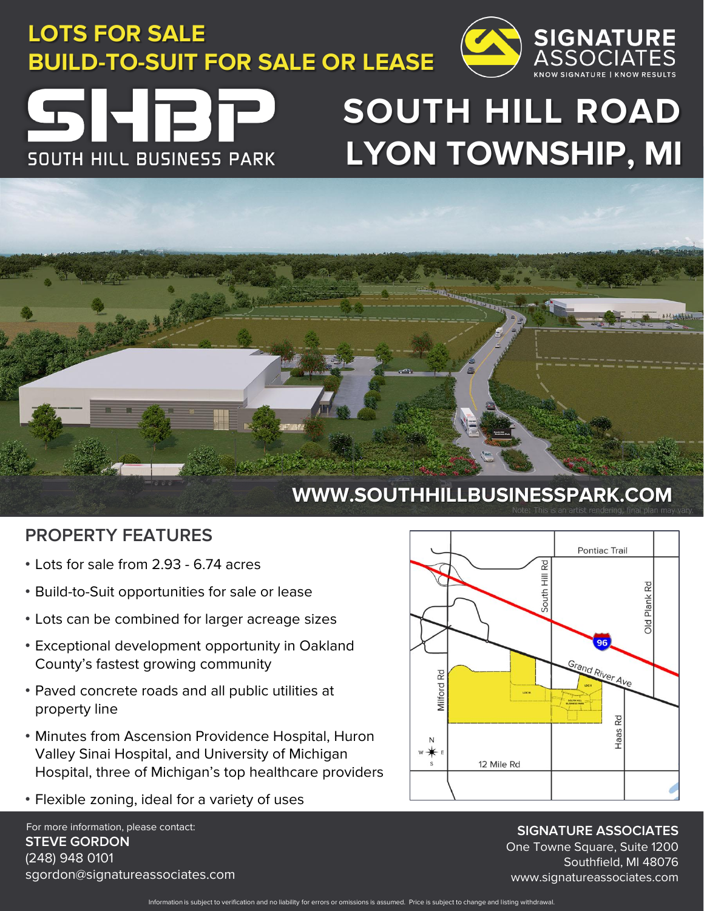**LOTS FOR SALE BUILD-TO-SUIT FOR SALE OR LEASE**



## SHET **SOUTH HILL BUSINESS PARK**

# **SOUTH HILL ROAD LYON TOWNSHIP, MI**



#### **PROPERTY FEATURES**

- Lots for sale from 2.93 6.74 acres
- Build-to-Suit opportunities for sale or lease
- Lots can be combined for larger acreage sizes
- Exceptional development opportunity in Oakland County's fastest growing community
- Paved concrete roads and all public utilities at property line
- Minutes from Ascension Providence Hospital, Huron Valley Sinai Hospital, and University of Michigan Hospital, three of Michigan's top healthcare providers
- Flexible zoning, ideal for a variety of uses

For more information, please contact: **STEVE GORDON** (248) 948 0101 sgordon@signatureassociates.com



**SIGNATURE ASSOCIATES** One Towne Square, Suite 1200 Southfield, MI 48076 www.signatureassociates.com

Information is subject to verification and no liability for errors or omissions is assumed. Price is subject to change and listing withdrawal.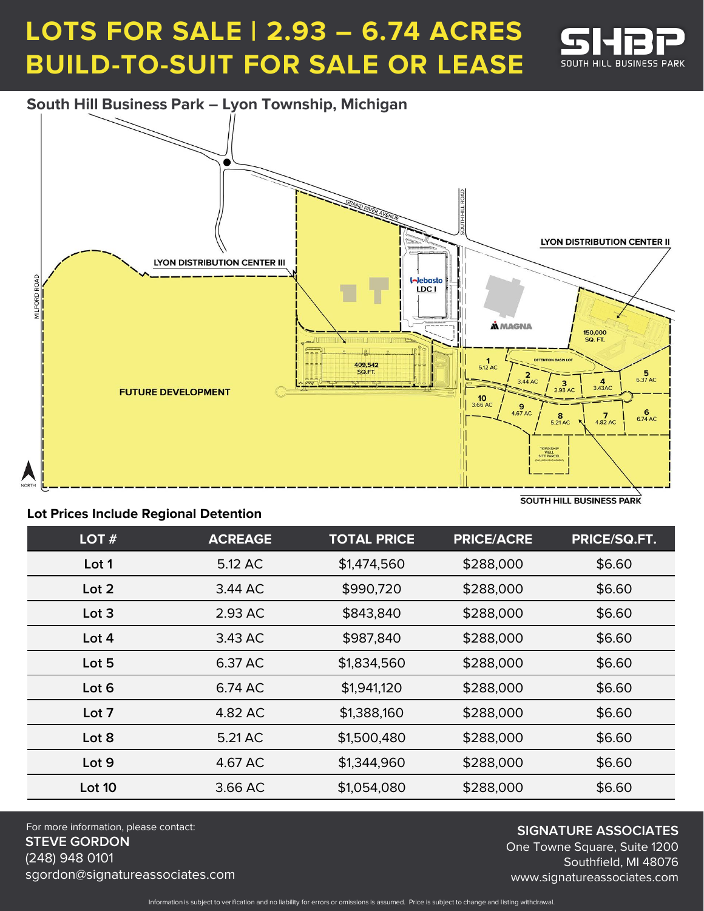## **LOTS FOR SALE | 2.93 – 6.74 ACRES BUILD-TO-SUIT FOR SALE OR LEASE**



**South Hill Business Park – Lyon Township, Michigan**



#### **Lot Prices Include Regional Detention**

| LOT $#$ | <b>ACREAGE</b> | <b>TOTAL PRICE</b> | <b>PRICE/ACRE</b> | PRICE/SQ.FT. |
|---------|----------------|--------------------|-------------------|--------------|
| Lot 1   | 5.12 AC        | \$1,474,560        | \$288,000         | \$6.60       |
| Lot 2   | 3.44 AC        | \$990,720          | \$288,000         | \$6.60       |
| Lot 3   | 2.93 AC        | \$843,840          | \$288,000         | \$6.60       |
| Lot 4   | 3.43 AC        | \$987,840          | \$288,000         | \$6.60       |
| Lot 5   | 6.37 AC        | \$1,834,560        | \$288,000         | \$6.60       |
| Lot 6   | 6.74 AC        | \$1,941,120        | \$288,000         | \$6.60       |
| Lot 7   | 4.82 AC        | \$1,388,160        | \$288,000         | \$6.60       |
| Lot 8   | 5.21 AC        | \$1,500,480        | \$288,000         | \$6.60       |
| Lot 9   | 4.67 AC        | \$1,344,960        | \$288,000         | \$6.60       |
| Lot 10  | 3.66 AC        | \$1,054,080        | \$288,000         | \$6.60       |

For more information, please contact: **STEVE GORDON** (248) 948 0101 sgordon@signatureassociates.com

**SIGNATURE ASSOCIATES**

One Towne Square, Suite 1200 Southfield, MI 48076 www.signatureassociates.com

Information is subject to verification and no liability for errors or omissions is assumed. Price is subject to change and listing withdrawal.